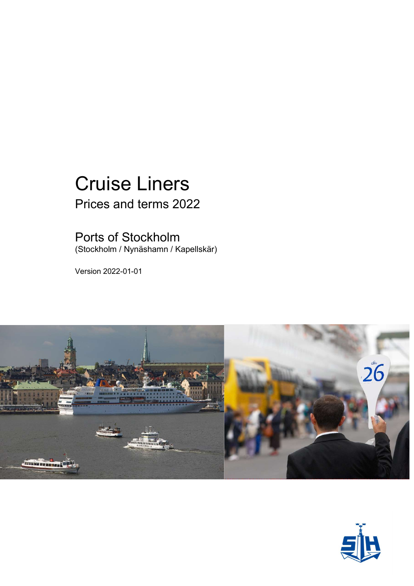# Cruise Liners Prices and terms 2022

### Ports of Stockholm

(Stockholm / Nynäshamn / Kapellskär)

Version 2022-01-01



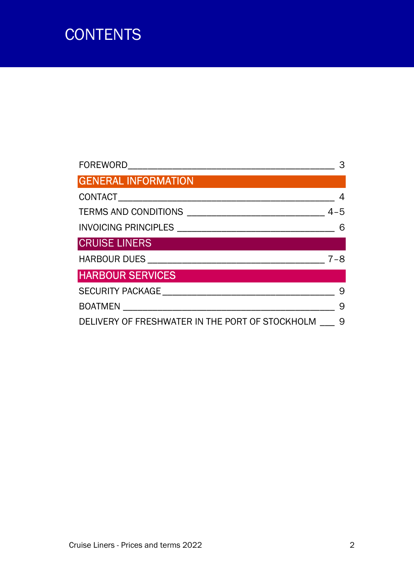# **CONTENTS**

|                                                 | З       |
|-------------------------------------------------|---------|
| <b>GENERAL INFORMATION</b>                      |         |
|                                                 |         |
|                                                 | $4 - 5$ |
|                                                 | 6       |
| <b>CRUISE LINERS</b>                            |         |
|                                                 | $7 - 8$ |
| <b>HARBOUR SERVICES</b>                         |         |
|                                                 | 9       |
| BOATMEN ________________________                | 9       |
| DELIVERY OF FRESHWATER IN THE PORT OF STOCKHOLM | 9       |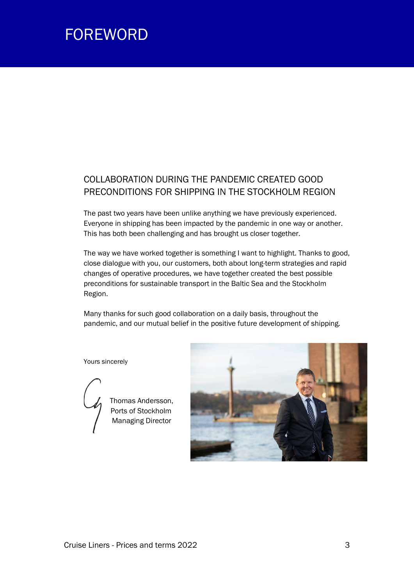## FOREWORD

### COLLABORATION DURING THE PANDEMIC CREATED GOOD PRECONDITIONS FOR SHIPPING IN THE STOCKHOLM REGION

The past two years have been unlike anything we have previously experienced. Everyone in shipping has been impacted by the pandemic in one way or another. This has both been challenging and has brought us closer together.

The way we have worked together is something I want to highlight. Thanks to good, close dialogue with you, our customers, both about long-term strategies and rapid changes of operative procedures, we have together created the best possible preconditions for sustainable transport in the Baltic Sea and the Stockholm Region.

Many thanks for such good collaboration on a daily basis, throughout the pandemic, and our mutual belief in the positive future development of shipping.

Yours sincerely



 Thomas Andersson, Ports of Stockholm **Managing Director** 

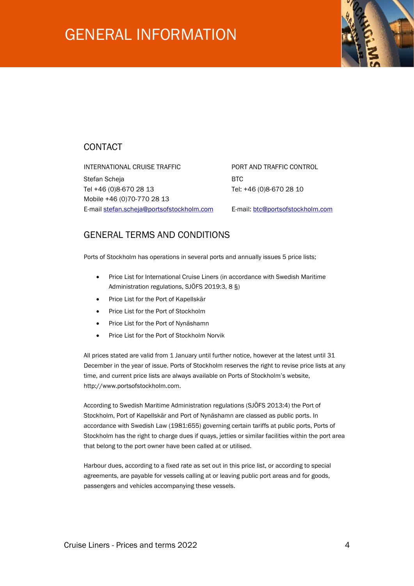## GENERAL INFORMATION



### **CONTACT**

INTERNATIONAL CRUISE TRAFFIC **FORT AND TRAFFIC CONTROL** Stefan Scheja BTC Tel +46 (0)8-670 28 13 Tel: +46 (0)8-670 28 10 Mobile +46 (0)70-770 28 13 E-mail stefan.scheja@portsofstockholm.com E-mail: btc@portsofstockholm.com

### GENERAL TERMS AND CONDITIONS

Ports of Stockholm has operations in several ports and annually issues 5 price lists;

- Price List for International Cruise Liners (in accordance with Swedish Maritime Administration regulations, SJÖFS 2019:3, 8 §)
- Price List for the Port of Kapellskär
- Price List for the Port of Stockholm
- Price List for the Port of Nynäshamn
- Price List for the Port of Stockholm Norvik

All prices stated are valid from 1 January until further notice, however at the latest until 31 December in the year of issue. Ports of Stockholm reserves the right to revise price lists at any time, and current price lists are always available on Ports of Stockholm's website, http://www.portsofstockholm.com.

According to Swedish Maritime Administration regulations (SJÖFS 2013:4) the Port of Stockholm, Port of Kapellskär and Port of Nynäshamn are classed as public ports. In accordance with Swedish Law (1981:655) governing certain tariffs at public ports, Ports of Stockholm has the right to charge dues if quays, jetties or similar facilities within the port area that belong to the port owner have been called at or utilised.

Harbour dues, according to a fixed rate as set out in this price list, or according to special agreements, are payable for vessels calling at or leaving public port areas and for goods, passengers and vehicles accompanying these vessels.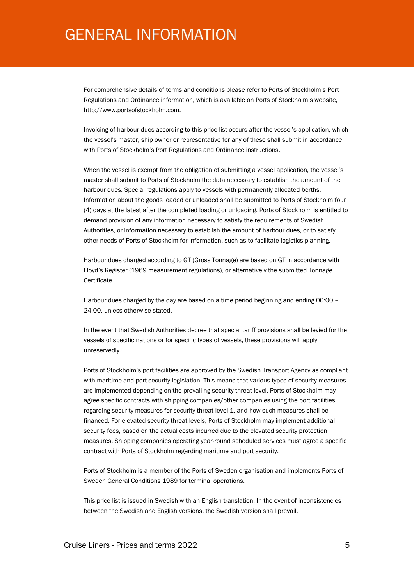## GENERAL INFORMATION

For comprehensive details of terms and conditions please refer to Ports of Stockholm's Port Regulations and Ordinance information, which is available on Ports of Stockholm's website, http://www.portsofstockholm.com.

Invoicing of harbour dues according to this price list occurs after the vessel's application, which the vessel's master, ship owner or representative for any of these shall submit in accordance with Ports of Stockholm's Port Regulations and Ordinance instructions.

When the vessel is exempt from the obligation of submitting a vessel application, the vessel's master shall submit to Ports of Stockholm the data necessary to establish the amount of the harbour dues. Special regulations apply to vessels with permanently allocated berths. Information about the goods loaded or unloaded shall be submitted to Ports of Stockholm four (4) days at the latest after the completed loading or unloading. Ports of Stockholm is entitled to demand provision of any information necessary to satisfy the requirements of Swedish Authorities, or information necessary to establish the amount of harbour dues, or to satisfy other needs of Ports of Stockholm for information, such as to facilitate logistics planning.

Harbour dues charged according to GT (Gross Tonnage) are based on GT in accordance with Lloyd's Register (1969 measurement regulations), or alternatively the submitted Tonnage Certificate.

Harbour dues charged by the day are based on a time period beginning and ending 00:00 – 24.00, unless otherwise stated.

In the event that Swedish Authorities decree that special tariff provisions shall be levied for the vessels of specific nations or for specific types of vessels, these provisions will apply unreservedly.

Ports of Stockholm's port facilities are approved by the Swedish Transport Agency as compliant with maritime and port security legislation. This means that various types of security measures are implemented depending on the prevailing security threat level. Ports of Stockholm may agree specific contracts with shipping companies/other companies using the port facilities regarding security measures for security threat level 1, and how such measures shall be financed. For elevated security threat levels, Ports of Stockholm may implement additional security fees, based on the actual costs incurred due to the elevated security protection measures. Shipping companies operating year-round scheduled services must agree a specific contract with Ports of Stockholm regarding maritime and port security.

Ports of Stockholm is a member of the Ports of Sweden organisation and implements Ports of Sweden General Conditions 1989 for terminal operations.

This price list is issued in Swedish with an English translation. In the event of inconsistencies between the Swedish and English versions, the Swedish version shall prevail.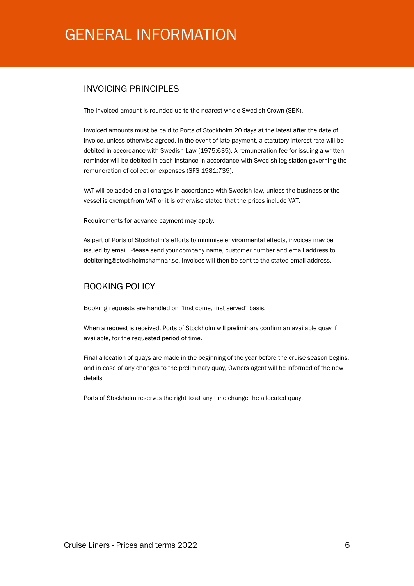## GENERAL INFORMATION

#### INVOICING PRINCIPI FS

The invoiced amount is rounded-up to the nearest whole Swedish Crown (SEK).

Invoiced amounts must be paid to Ports of Stockholm 20 days at the latest after the date of invoice, unless otherwise agreed. In the event of late payment, a statutory interest rate will be debited in accordance with Swedish Law (1975:635). A remuneration fee for issuing a written reminder will be debited in each instance in accordance with Swedish legislation governing the remuneration of collection expenses (SFS 1981:739).

VAT will be added on all charges in accordance with Swedish law, unless the business or the vessel is exempt from VAT or it is otherwise stated that the prices include VAT.

Requirements for advance payment may apply.

As part of Ports of Stockholm's efforts to minimise environmental effects, invoices may be issued by email. Please send your company name, customer number and email address to debitering@stockholmshamnar.se. Invoices will then be sent to the stated email address.

#### BOOKING POLICY

Booking requests are handled on "first come, first served" basis.

When a request is received, Ports of Stockholm will preliminary confirm an available quay if available, for the requested period of time.

Final allocation of quays are made in the beginning of the year before the cruise season begins, and in case of any changes to the preliminary quay, Owners agent will be informed of the new details

Ports of Stockholm reserves the right to at any time change the allocated quay.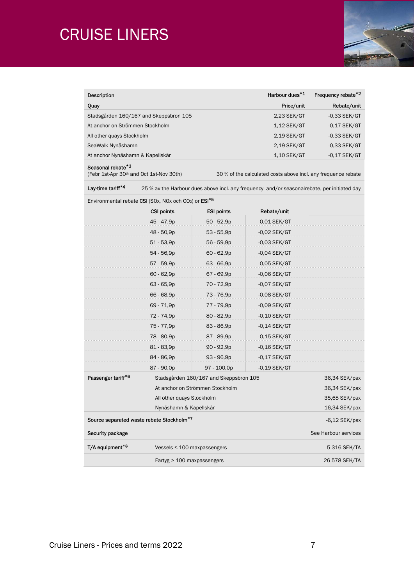# CRUISE LINERS



| Description                      |                                                                               |                                        | Harbour dues*1                                                                               | Frequency rebate*2   |  |
|----------------------------------|-------------------------------------------------------------------------------|----------------------------------------|----------------------------------------------------------------------------------------------|----------------------|--|
| Quay                             |                                                                               |                                        | Price/unit                                                                                   | Rebate/unit          |  |
|                                  | Stadsgården 160/167 and Skeppsbron 105                                        |                                        | 2,23 SEK/GT                                                                                  | $-0.33$ SEK/GT       |  |
| At anchor on Strömmen Stockholm  |                                                                               |                                        | 1,12 SEK/GT                                                                                  | $-0,17$ SEK/GT       |  |
| All other quays Stockholm        |                                                                               |                                        | 2,19 SEK/GT                                                                                  | -0,33 SEK/GT         |  |
| SeaWalk Nynäshamn                |                                                                               |                                        | 2,19 SEK/GT                                                                                  | $-0,33$ SEK/GT       |  |
| At anchor Nynäshamn & Kapellskär |                                                                               |                                        | $1,10$ SEK/GT                                                                                | $-0,17$ SEK/GT       |  |
| Seasonal rebate*3                | (Febr 1st-Apr 30 <sup>th</sup> and Oct 1st-Nov 30th)                          |                                        | 30 % of the calculated costs above incl. any frequence rebate                                |                      |  |
| Lay-time tariff <sup>*4</sup>    |                                                                               |                                        | 25 % av the Harbour dues above incl. any frequency- and/or seasonalrebate, per initiated day |                      |  |
|                                  | Environmental rebate CSI (SOx, NOx och CO <sub>2</sub> ) or ESI <sup>*5</sup> |                                        |                                                                                              |                      |  |
|                                  | <b>CSI points</b>                                                             | <b>ESI points</b>                      | Rebate/unit                                                                                  |                      |  |
|                                  | 45 - 47,9p                                                                    | $50 - 52,9p$                           | $-0.01$ SEK/GT                                                                               |                      |  |
|                                  | 48 - 50,9p                                                                    | $53 - 55,9p$                           | $-0.02$ SEK/GT                                                                               |                      |  |
|                                  | $51 - 53,9p$                                                                  | 56 - 59,9p                             | $-0,03$ SEK/GT                                                                               |                      |  |
|                                  | 54 - 56,9p                                                                    | $60 - 62,9p$                           | $-0,04$ SEK/GT                                                                               |                      |  |
|                                  | 57 - 59,9p                                                                    | $63 - 66,9p$                           | $-0,05$ SEK/GT                                                                               |                      |  |
|                                  | $60 - 62.9p$                                                                  | 67 - 69,9p                             | $-0,06$ SEK/GT                                                                               |                      |  |
|                                  | $63 - 65,9p$                                                                  | 70 - 72,9p                             | $-0.07$ SEK/GT                                                                               |                      |  |
|                                  | 66 - 68,9p                                                                    | 73 - 76,9p                             | $-0,08$ SEK/GT                                                                               |                      |  |
|                                  | 69 - 71,9p                                                                    | 77 - 79,9p                             | $-0,09$ SEK/GT                                                                               |                      |  |
|                                  | 72 - 74,9p                                                                    | 80 - 82,9p                             | $-0,10$ SEK/GT                                                                               |                      |  |
|                                  | 75 - 77,9p                                                                    | 83 - 86,9p                             | $-0,14$ SEK/GT                                                                               |                      |  |
|                                  | 78 - 80,9p                                                                    | 87 - 89,9p                             | $-0,15$ SEK/GT                                                                               |                      |  |
|                                  | 81 - 83,9p                                                                    | $90 - 92,9p$                           | $-0,16$ SEK/GT                                                                               |                      |  |
|                                  | 84 - 86,9p                                                                    | 93 - 96,9p                             | $-0,17$ SEK/GT                                                                               |                      |  |
|                                  | 87 - 90,0p                                                                    | 97 - 100,0p                            | $-0,19$ SEK/GT                                                                               |                      |  |
| Passenger tariff <sup>*6</sup>   |                                                                               | Stadsgården 160/167 and Skeppsbron 105 |                                                                                              | 36,34 SEK/pax        |  |
|                                  |                                                                               | At anchor on Strömmen Stockholm        |                                                                                              |                      |  |
| All other quays Stockholm        |                                                                               |                                        |                                                                                              | 35,65 SEK/pax        |  |
|                                  | Nynäshamn & Kapellskär                                                        |                                        |                                                                                              | 16,34 SEK/pax        |  |
|                                  | Source separated waste rebate Stockholm*7                                     |                                        |                                                                                              | $-6.12$ SEK/pax      |  |
| Security package                 |                                                                               |                                        |                                                                                              | See Harbour services |  |
| T/A equipment*8                  |                                                                               | Vessels $\leq 100$ maxpassengers       |                                                                                              | 5 316 SEK/TA         |  |
|                                  | Fartyg > 100 maxpassengers                                                    |                                        |                                                                                              | 26 578 SEK/TA        |  |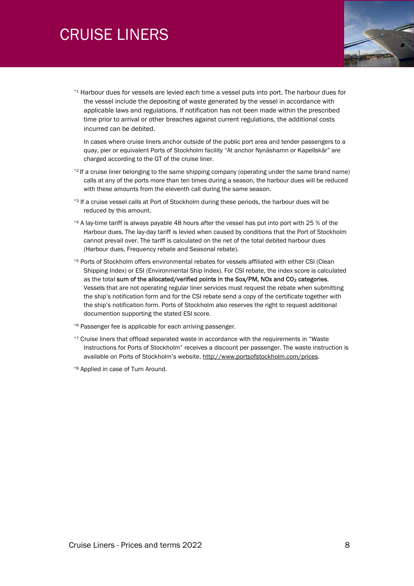# CRUISE LINERS



\*1 Harbour dues for vessels are levied each time a vessel puts into port. The harbour dues for the vessel include the depositing of waste generated by the vessel in accordance with applicable laws and regulations. If notification has not been made within the prescribed time prior to arrival or other breaches against current regulations, the additional costs incurred can be debited.

In cases where cruise liners anchor outside of the public port area and tender passengers to a quay, pier or equivalent Ports of Stockholm facility "At anchor Nynäshamn or Kapellskär" are charged according to the GT of the cruise liner.

- \*2 If a cruise liner belonging to the same shipping company (operating under the same brand name) calls at any of the ports more than ten times during a season, the harbour dues will be reduced with these amounts from the eleventh call during the same season.
- \*<sup>3</sup> If a cruise vessel calls at Port of Stockholm during these periods, the harbour dues will be reduced by this amount.
- $*4$  A lay-time tariff is always payable 48 hours after the vessel has put into port with 25 % of the Harbour dues. The lay-day tariff is levied when caused by conditions that the Port of Stockholm cannot prevail over. The tariff is calculated on the net of the total debited harbour dues (Harbour dues, Frequency rebate and Seasonal rebate).
- \*5 Ports of Stockholm offers environmental rebates for vessels affiliated with either CSI (Clean Shipping Index) or ESI (Environmental Ship Index). For CSI rebate, the index score is calculated as the total sum of the allocated/verified points in the Sox/PM, NOx and  $CO<sub>2</sub>$  categories. Vessels that are not operating regular liner services must request the rebate when submitting the ship's notification form and for the CSI rebate send a copy of the certificate together with the ship's notification form. Ports of Stockholm also reserves the right to request additional documention supporting the stated ESI score.
- \*6 Passenger fee is applicable for each arriving passenger.
- \*7 Cruise liners that offload separated waste in accordance with the requirements in "Waste Instructions for Ports of Stockholm" receives a discount per passenger. The waste instruction is available on Ports of Stockholm's website, http://www.portsofstockholm.com/prices.
- \*8 Applied in case of Turn Around.